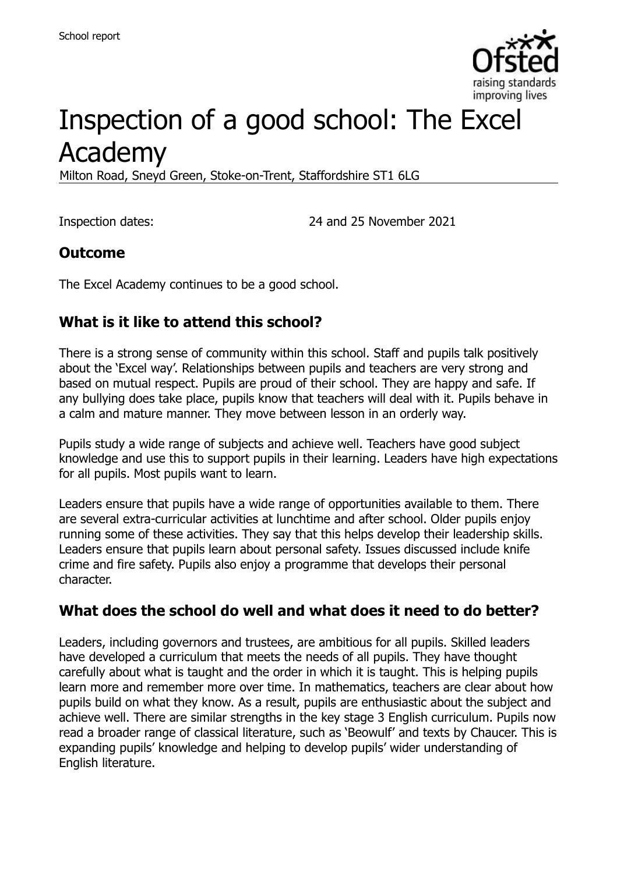

# Inspection of a good school: The Excel Academy

Milton Road, Sneyd Green, Stoke-on-Trent, Staffordshire ST1 6LG

Inspection dates: 24 and 25 November 2021

#### **Outcome**

The Excel Academy continues to be a good school.

### **What is it like to attend this school?**

There is a strong sense of community within this school. Staff and pupils talk positively about the 'Excel way'. Relationships between pupils and teachers are very strong and based on mutual respect. Pupils are proud of their school. They are happy and safe. If any bullying does take place, pupils know that teachers will deal with it. Pupils behave in a calm and mature manner. They move between lesson in an orderly way.

Pupils study a wide range of subjects and achieve well. Teachers have good subject knowledge and use this to support pupils in their learning. Leaders have high expectations for all pupils. Most pupils want to learn.

Leaders ensure that pupils have a wide range of opportunities available to them. There are several extra-curricular activities at lunchtime and after school. Older pupils enjoy running some of these activities. They say that this helps develop their leadership skills. Leaders ensure that pupils learn about personal safety. Issues discussed include knife crime and fire safety. Pupils also enjoy a programme that develops their personal character.

#### **What does the school do well and what does it need to do better?**

Leaders, including governors and trustees, are ambitious for all pupils. Skilled leaders have developed a curriculum that meets the needs of all pupils. They have thought carefully about what is taught and the order in which it is taught. This is helping pupils learn more and remember more over time. In mathematics, teachers are clear about how pupils build on what they know. As a result, pupils are enthusiastic about the subject and achieve well. There are similar strengths in the key stage 3 English curriculum. Pupils now read a broader range of classical literature, such as 'Beowulf' and texts by Chaucer. This is expanding pupils' knowledge and helping to develop pupils' wider understanding of English literature.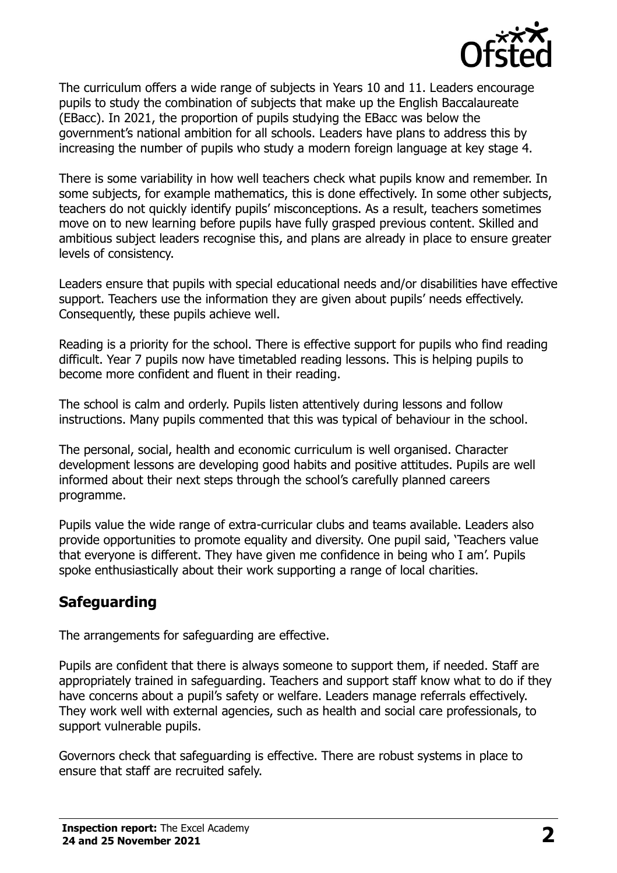

The curriculum offers a wide range of subjects in Years 10 and 11. Leaders encourage pupils to study the combination of subjects that make up the English Baccalaureate (EBacc). In 2021, the proportion of pupils studying the EBacc was below the government's national ambition for all schools. Leaders have plans to address this by increasing the number of pupils who study a modern foreign language at key stage 4.

There is some variability in how well teachers check what pupils know and remember. In some subjects, for example mathematics, this is done effectively. In some other subjects, teachers do not quickly identify pupils' misconceptions. As a result, teachers sometimes move on to new learning before pupils have fully grasped previous content. Skilled and ambitious subject leaders recognise this, and plans are already in place to ensure greater levels of consistency.

Leaders ensure that pupils with special educational needs and/or disabilities have effective support. Teachers use the information they are given about pupils' needs effectively. Consequently, these pupils achieve well.

Reading is a priority for the school. There is effective support for pupils who find reading difficult. Year 7 pupils now have timetabled reading lessons. This is helping pupils to become more confident and fluent in their reading.

The school is calm and orderly. Pupils listen attentively during lessons and follow instructions. Many pupils commented that this was typical of behaviour in the school.

The personal, social, health and economic curriculum is well organised. Character development lessons are developing good habits and positive attitudes. Pupils are well informed about their next steps through the school's carefully planned careers programme.

Pupils value the wide range of extra-curricular clubs and teams available. Leaders also provide opportunities to promote equality and diversity. One pupil said, 'Teachers value that everyone is different. They have given me confidence in being who I am'. Pupils spoke enthusiastically about their work supporting a range of local charities.

# **Safeguarding**

The arrangements for safeguarding are effective.

Pupils are confident that there is always someone to support them, if needed. Staff are appropriately trained in safeguarding. Teachers and support staff know what to do if they have concerns about a pupil's safety or welfare. Leaders manage referrals effectively. They work well with external agencies, such as health and social care professionals, to support vulnerable pupils.

Governors check that safeguarding is effective. There are robust systems in place to ensure that staff are recruited safely.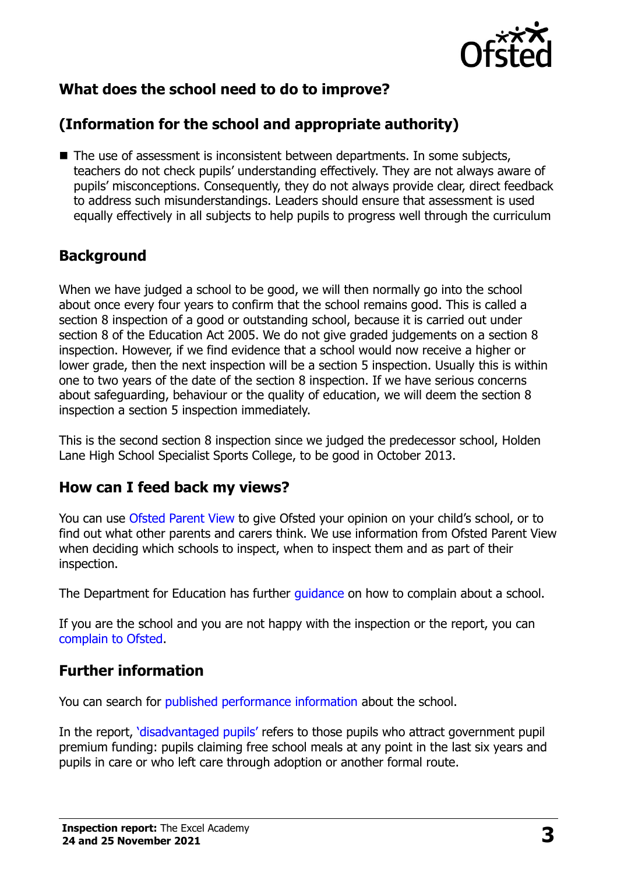

## **What does the school need to do to improve?**

# **(Information for the school and appropriate authority)**

■ The use of assessment is inconsistent between departments. In some subjects, teachers do not check pupils' understanding effectively. They are not always aware of pupils' misconceptions. Consequently, they do not always provide clear, direct feedback to address such misunderstandings. Leaders should ensure that assessment is used equally effectively in all subjects to help pupils to progress well through the curriculum

#### **Background**

When we have judged a school to be good, we will then normally go into the school about once every four years to confirm that the school remains good. This is called a section 8 inspection of a good or outstanding school, because it is carried out under section 8 of the Education Act 2005. We do not give graded judgements on a section 8 inspection. However, if we find evidence that a school would now receive a higher or lower grade, then the next inspection will be a section 5 inspection. Usually this is within one to two years of the date of the section 8 inspection. If we have serious concerns about safeguarding, behaviour or the quality of education, we will deem the section 8 inspection a section 5 inspection immediately.

This is the second section 8 inspection since we judged the predecessor school, Holden Lane High School Specialist Sports College, to be good in October 2013.

#### **How can I feed back my views?**

You can use [Ofsted Parent View](https://parentview.ofsted.gov.uk/) to give Ofsted your opinion on your child's school, or to find out what other parents and carers think. We use information from Ofsted Parent View when deciding which schools to inspect, when to inspect them and as part of their inspection.

The Department for Education has further quidance on how to complain about a school.

If you are the school and you are not happy with the inspection or the report, you can [complain to Ofsted.](https://www.gov.uk/complain-ofsted-report)

#### **Further information**

You can search for [published performance information](http://www.compare-school-performance.service.gov.uk/) about the school.

In the report, '[disadvantaged pupils](http://www.gov.uk/guidance/pupil-premium-information-for-schools-and-alternative-provision-settings)' refers to those pupils who attract government pupil premium funding: pupils claiming free school meals at any point in the last six years and pupils in care or who left care through adoption or another formal route.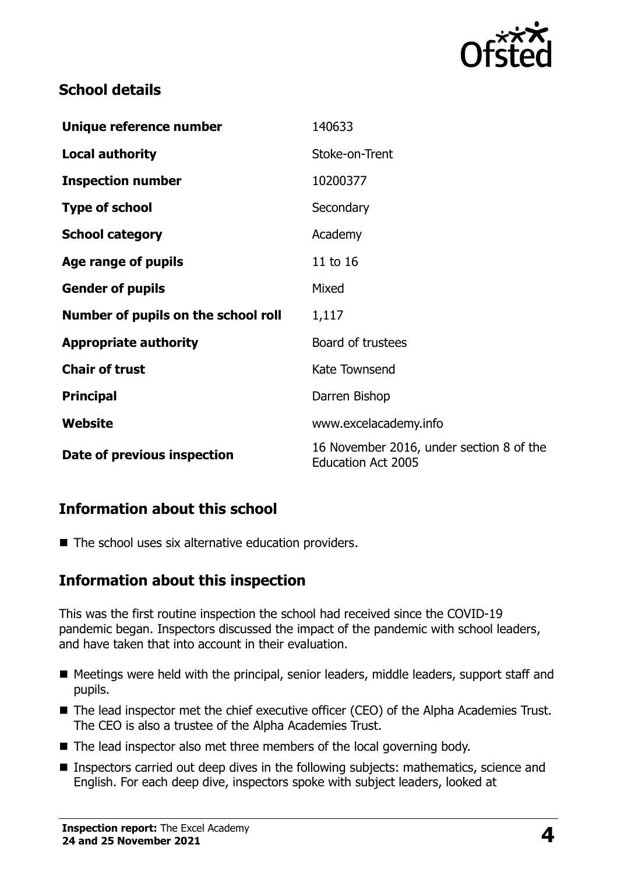

#### **School details**

| Unique reference number             | 140633                                                                |
|-------------------------------------|-----------------------------------------------------------------------|
| <b>Local authority</b>              | Stoke-on-Trent                                                        |
| <b>Inspection number</b>            | 10200377                                                              |
| <b>Type of school</b>               | Secondary                                                             |
| <b>School category</b>              | Academy                                                               |
| Age range of pupils                 | 11 to 16                                                              |
| <b>Gender of pupils</b>             | Mixed                                                                 |
| Number of pupils on the school roll | 1,117                                                                 |
| <b>Appropriate authority</b>        | Board of trustees                                                     |
| <b>Chair of trust</b>               | Kate Townsend                                                         |
| <b>Principal</b>                    | Darren Bishop                                                         |
| Website                             | www.excelacademy.info                                                 |
| Date of previous inspection         | 16 November 2016, under section 8 of the<br><b>Education Act 2005</b> |

### **Information about this school**

 $\blacksquare$  The school uses six alternative education providers.

### **Information about this inspection**

This was the first routine inspection the school had received since the COVID-19 pandemic began. Inspectors discussed the impact of the pandemic with school leaders, and have taken that into account in their evaluation.

- Meetings were held with the principal, senior leaders, middle leaders, support staff and pupils.
- The lead inspector met the chief executive officer (CEO) of the Alpha Academies Trust. The CEO is also a trustee of the Alpha Academies Trust.
- The lead inspector also met three members of the local governing body.
- Inspectors carried out deep dives in the following subjects: mathematics, science and English. For each deep dive, inspectors spoke with subject leaders, looked at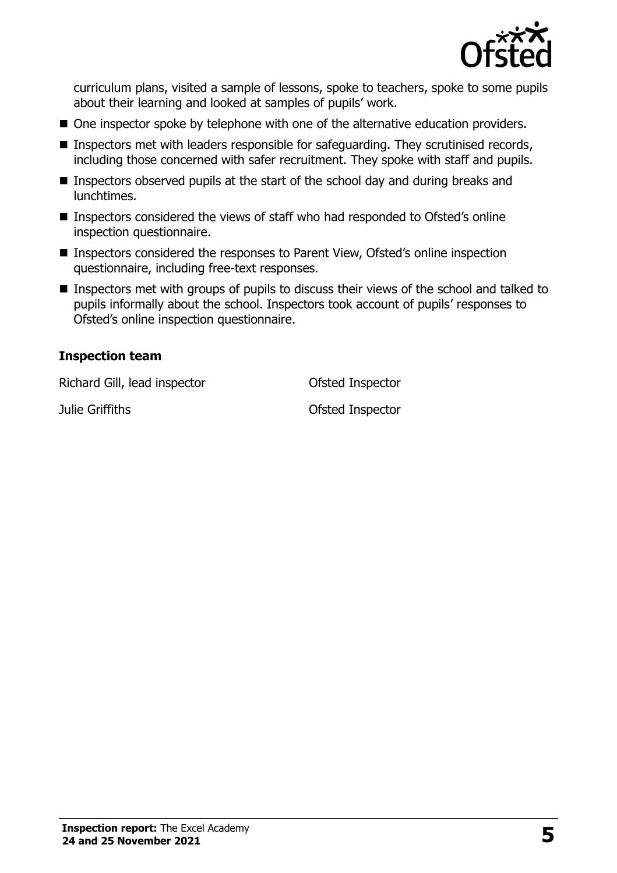

curriculum plans, visited a sample of lessons, spoke to teachers, spoke to some pupils about their learning and looked at samples of pupils' work.

- One inspector spoke by telephone with one of the alternative education providers.
- **Inspectors met with leaders responsible for safeguarding. They scrutinised records,** including those concerned with safer recruitment. They spoke with staff and pupils.
- **Inspectors observed pupils at the start of the school day and during breaks and** lunchtimes.
- Inspectors considered the views of staff who had responded to Ofsted's online inspection questionnaire.
- Inspectors considered the responses to Parent View, Ofsted's online inspection questionnaire, including free-text responses.
- **Inspectors met with groups of pupils to discuss their views of the school and talked to** pupils informally about the school. Inspectors took account of pupils' responses to Ofsted's online inspection questionnaire.

#### **Inspection team**

Richard Gill, lead inspector **Constanting Ofsted Inspector** 

Julie Griffiths Ofsted Inspector